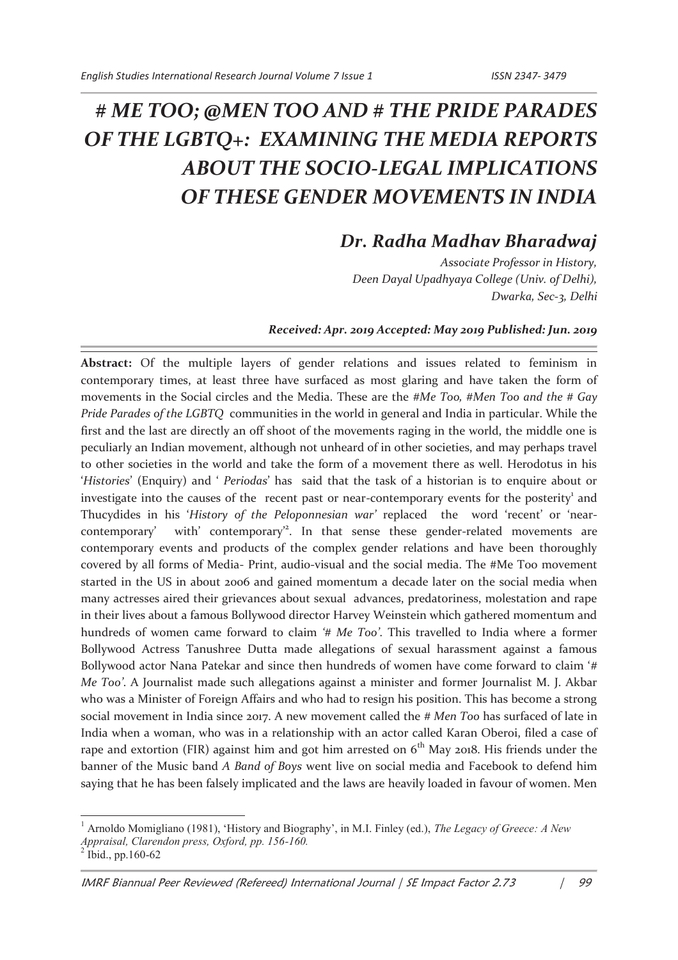## *# ME TOO; @MEN TOO AND # THE PRIDE PARADES OF THE LGBTQ+: EXAMINING THE MEDIA REPORTS ABOUT THE SOCIO-LEGAL IMPLICATIONS OF THESE GENDER MOVEMENTS IN INDIA*

## *Dr. Radha Madhav Bharadwaj*

*Associate Professor in History, Deen Dayal Upadhyaya College (Univ. of Delhi), Dwarka, Sec-3, Delhi*

## *Received: Apr. 2019 Accepted: May 2019 Published: Jun. 2019*

**Abstract:** Of the multiple layers of gender relations and issues related to feminism in contemporary times, at least three have surfaced as most glaring and have taken the form of movements in the Social circles and the Media. These are the *#Me Too, #Men Too and the # Gay Pride Parades of the LGBTQ* communities in the world in general and India in particular. While the first and the last are directly an off shoot of the movements raging in the world, the middle one is peculiarly an Indian movement, although not unheard of in other societies, and may perhaps travel to other societies in the world and take the form of a movement there as well. Herodotus in his '*Histories*' (Enquiry) and ' *Periodas*' has said that the task of a historian is to enquire about or investigate into the causes of the recent past or near-contemporary events for the posterity<sup>1</sup> and Thucydides in his '*History of the Peloponnesian war'* replaced the word 'recent' or 'nearcontemporary' with' contemporary<sup>2</sup>. In that sense these gender-related movements are contemporary events and products of the complex gender relations and have been thoroughly covered by all forms of Media- Print, audio-visual and the social media. The #Me Too movement started in the US in about 2006 and gained momentum a decade later on the social media when many actresses aired their grievances about sexual advances, predatoriness, molestation and rape in their lives about a famous Bollywood director Harvey Weinstein which gathered momentum and hundreds of women came forward to claim *'# Me Too'*. This travelled to India where a former Bollywood Actress Tanushree Dutta made allegations of sexual harassment against a famous Bollywood actor Nana Patekar and since then hundreds of women have come forward to claim '*# Me Too'*. A Journalist made such allegations against a minister and former Journalist M. J. Akbar who was a Minister of Foreign Affairs and who had to resign his position. This has become a strong social movement in India since 2017. A new movement called the *# Men Too* has surfaced of late in India when a woman, who was in a relationship with an actor called Karan Oberoi, filed a case of rape and extortion (FIR) against him and got him arrested on  $6<sup>th</sup>$  May 2018. His friends under the banner of the Music band *A Band of Boys* went live on social media and Facebook to defend him saying that he has been falsely implicated and the laws are heavily loaded in favour of women. Men

<sup>1</sup> Arnoldo Momigliano (1981), 'History and Biography', in M.I. Finley (ed.), *The Legacy of Greece: A New Appraisal, Clarendon press, Oxford, pp. 156-160.* 2 Ibid., pp.160-62

IMRF Biannual Peer Reviewed (Refereed) International Journal | SE Impact Factor 2.73 | 99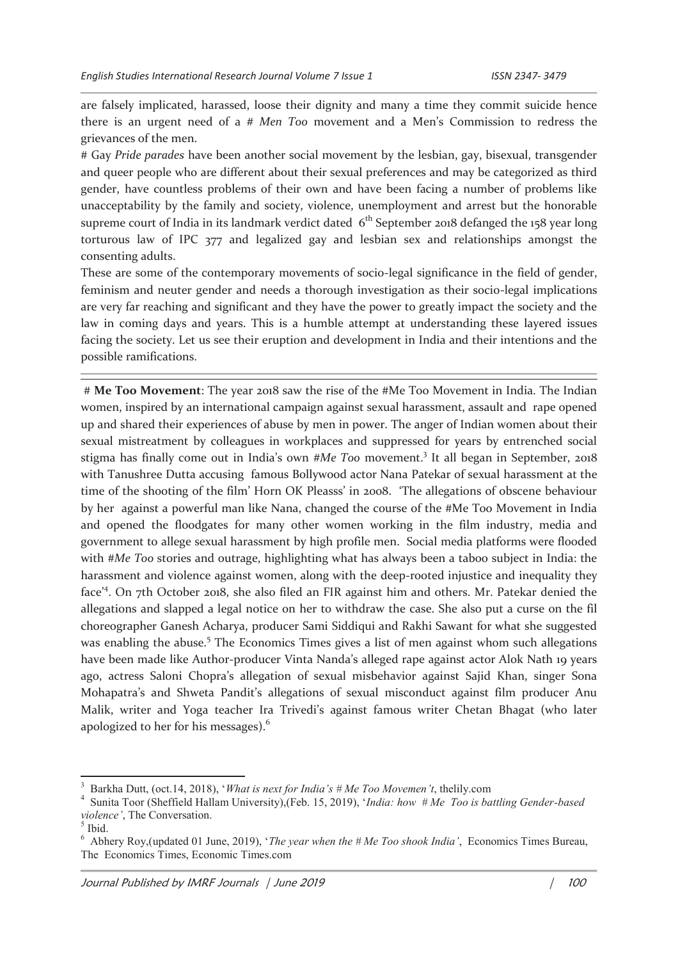are falsely implicated, harassed, loose their dignity and many a time they commit suicide hence there is an urgent need of a *# Men Too* movement and a Men's Commission to redress the grievances of the men.

# Gay *Pride parades* have been another social movement by the lesbian, gay, bisexual, transgender and queer people who are different about their sexual preferences and may be categorized as third gender, have countless problems of their own and have been facing a number of problems like unacceptability by the family and society, violence, unemployment and arrest but the honorable supreme court of India in its landmark verdict dated  $6<sup>th</sup>$  September 2018 defanged the 158 year long torturous law of IPC 377 and legalized gay and lesbian sex and relationships amongst the consenting adults.

These are some of the contemporary movements of socio-legal significance in the field of gender, feminism and neuter gender and needs a thorough investigation as their socio-legal implications are very far reaching and significant and they have the power to greatly impact the society and the law in coming days and years. This is a humble attempt at understanding these layered issues facing the society. Let us see their eruption and development in India and their intentions and the possible ramifications.

 # **Me Too Movement**: The year 2018 saw the rise of the #Me Too Movement in India. The Indian women, inspired by an international campaign against sexual harassment, assault and rape opened up and shared their experiences of abuse by men in power. The anger of Indian women about their sexual mistreatment by colleagues in workplaces and suppressed for years by entrenched social stigma has finally come out in India's own #Me Too movement.<sup>3</sup> It all began in September, 2018 with Tanushree Dutta accusing famous Bollywood actor Nana Patekar of sexual harassment at the time of the shooting of the film' Horn OK Pleasss' in 2008. 'The allegations of obscene behaviour by her against a powerful man like Nana, changed the course of the #Me Too Movement in India and opened the floodgates for many other women working in the film industry, media and government to allege sexual harassment by high profile men. Social media platforms were flooded with #*Me Too* stories and outrage, highlighting what has always been a taboo subject in India: the harassment and violence against women, along with the deep-rooted injustice and inequality they face<sup>24</sup>. On 7th October 2018, she also filed an FIR against him and others. Mr. Patekar denied the allegations and slapped a legal notice on her to withdraw the case. She also put a curse on the fil choreographer Ganesh Acharya, producer Sami Siddiqui and Rakhi Sawant for what she suggested was enabling the abuse.<sup>5</sup> The Economics Times gives a list of men against whom such allegations have been made like Author-producer Vinta Nanda's alleged rape against actor Alok Nath 19 years ago, actress Saloni Chopra's allegation of sexual misbehavior against Sajid Khan, singer Sona Mohapatra's and Shweta Pandit's allegations of sexual misconduct against film producer Anu Malik, writer and Yoga teacher Ira Trivedi's against famous writer Chetan Bhagat (who later apologized to her for his messages).<sup>6</sup>

<sup>3</sup> Barkha Dutt, (oct.14, 2018), '*What is next for India's # Me Too Movemen't*, thelily.com

<sup>4</sup> Sunita Toor (Sheffield Hallam University),(Feb. 15, 2019), '*India: how # Me Too is battling Gender-based violence'*, The Conversation.

 $<sup>5</sup>$  Ibid.</sup>

<sup>6</sup> Abhery Roy,(updated 01 June, 2019), '*The year when the # Me Too shook India'*, Economics Times Bureau, The Economics Times, Economic Times.com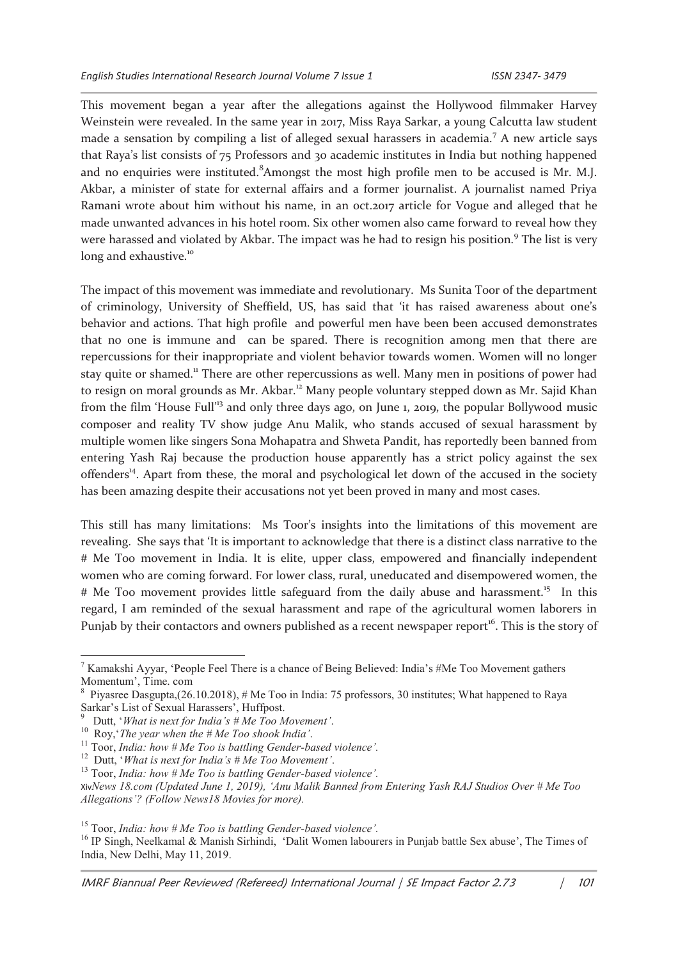This movement began a year after the allegations against the Hollywood filmmaker Harvey Weinstein were revealed. In the same year in 2017, Miss Raya Sarkar, a young Calcutta law student made a sensation by compiling a list of alleged sexual harassers in academia.<sup>7</sup> A new article says that Raya's list consists of 75 Professors and 30 academic institutes in India but nothing happened and no enquiries were instituted.<sup>8</sup>Amongst the most high profile men to be accused is Mr. M.J. Akbar, a minister of state for external affairs and a former journalist. A journalist named Priya Ramani wrote about him without his name, in an oct.2017 article for Vogue and alleged that he made unwanted advances in his hotel room. Six other women also came forward to reveal how they were harassed and violated by Akbar. The impact was he had to resign his position.<sup>9</sup> The list is very long and exhaustive.<sup>10</sup>

The impact of this movement was immediate and revolutionary. Ms Sunita Toor of the department of criminology, University of Sheffield, US, has said that 'it has raised awareness about one's behavior and actions. That high profile and powerful men have been been accused demonstrates that no one is immune and can be spared. There is recognition among men that there are repercussions for their inappropriate and violent behavior towards women. Women will no longer stay quite or shamed.<sup>11</sup> There are other repercussions as well. Many men in positions of power had to resign on moral grounds as Mr. Akbar.<sup>12</sup> Many people voluntary stepped down as Mr. Sajid Khan from the film 'House Full'<sup>13</sup> and only three days ago, on June 1, 2019, the popular Bollywood music composer and reality TV show judge Anu Malik, who stands accused of sexual harassment by multiple women like singers Sona Mohapatra and Shweta Pandit, has reportedly been banned from entering Yash Raj because the production house apparently has a strict policy against the sex offenders<sup>14</sup>. Apart from these, the moral and psychological let down of the accused in the society has been amazing despite their accusations not yet been proved in many and most cases.

This still has many limitations: Ms Toor's insights into the limitations of this movement are revealing. She says that 'It is important to acknowledge that there is a distinct class narrative to the # Me Too movement in India. It is elite, upper class, empowered and financially independent women who are coming forward. For lower class, rural, uneducated and disempowered women, the # Me Too movement provides little safeguard from the daily abuse and harassment.<sup>15</sup> In this regard, I am reminded of the sexual harassment and rape of the agricultural women laborers in Punjab by their contactors and owners published as a recent newspaper report<sup>16</sup>. This is the story of

<sup>&</sup>lt;sup>7</sup> Kamakshi Ayyar, 'People Feel There is a chance of Being Believed: India's #Me Too Movement gathers Momentum', Time. com

<sup>8</sup> Piyasree Dasgupta,(26.10.2018), # Me Too in India: 75 professors, 30 institutes; What happened to Raya Sarkar's List of Sexual Harassers', Huffpost.

<sup>9</sup> Dutt, '*What is next for India's # Me Too Movement'*.

<sup>10</sup> Roy,'*The year when the # Me Too shook India'*.

<sup>11</sup> Toor, *India: how # Me Too is battling Gender-based violence'.*

<sup>12</sup> Dutt, '*What is next for India's # Me Too Movement'*.

<sup>13</sup> Toor, *India: how # Me Too is battling Gender-based violence'.*

Xiv*News 18.com (Updated June 1, 2019), 'Anu Malik Banned from Entering Yash RAJ Studios Over # Me Too Allegations'? (Follow News18 Movies for more).*

<sup>15</sup> Toor, *India: how # Me Too is battling Gender-based violence'.*

<sup>&</sup>lt;sup>16</sup> IP Singh, Neelkamal & Manish Sirhindi, 'Dalit Women labourers in Punjab battle Sex abuse', The Times of India, New Delhi, May 11, 2019.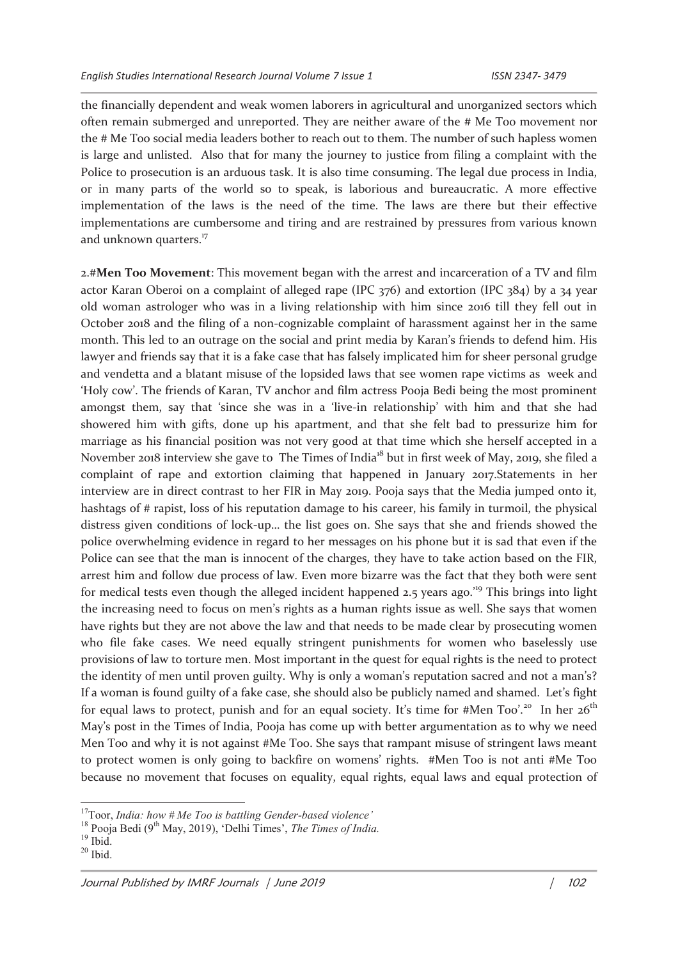the financially dependent and weak women laborers in agricultural and unorganized sectors which often remain submerged and unreported. They are neither aware of the # Me Too movement nor the # Me Too social media leaders bother to reach out to them. The number of such hapless women is large and unlisted. Also that for many the journey to justice from filing a complaint with the Police to prosecution is an arduous task. It is also time consuming. The legal due process in India, or in many parts of the world so to speak, is laborious and bureaucratic. A more effective implementation of the laws is the need of the time. The laws are there but their effective implementations are cumbersome and tiring and are restrained by pressures from various known and unknown quarters.<sup>17</sup>

2.#**Men Too Movement**: This movement began with the arrest and incarceration of a TV and film actor Karan Oberoi on a complaint of alleged rape (IPC 376) and extortion (IPC 384) by a 34 year old woman astrologer who was in a living relationship with him since 2016 till they fell out in October 2018 and the filing of a non-cognizable complaint of harassment against her in the same month. This led to an outrage on the social and print media by Karan's friends to defend him. His lawyer and friends say that it is a fake case that has falsely implicated him for sheer personal grudge and vendetta and a blatant misuse of the lopsided laws that see women rape victims as week and 'Holy cow'. The friends of Karan, TV anchor and film actress Pooja Bedi being the most prominent amongst them, say that 'since she was in a 'live-in relationship' with him and that she had showered him with gifts, done up his apartment, and that she felt bad to pressurize him for marriage as his financial position was not very good at that time which she herself accepted in a November 2018 interview she gave to The Times of India<sup>18</sup> but in first week of May, 2019, she filed a complaint of rape and extortion claiming that happened in January 2017.Statements in her interview are in direct contrast to her FIR in May 2019. Pooja says that the Media jumped onto it, hashtags of # rapist, loss of his reputation damage to his career, his family in turmoil, the physical distress given conditions of lock-up… the list goes on. She says that she and friends showed the police overwhelming evidence in regard to her messages on his phone but it is sad that even if the Police can see that the man is innocent of the charges, they have to take action based on the FIR, arrest him and follow due process of law. Even more bizarre was the fact that they both were sent for medical tests even though the alleged incident happened 2.5 years ago.<sup>19</sup> This brings into light the increasing need to focus on men's rights as a human rights issue as well. She says that women have rights but they are not above the law and that needs to be made clear by prosecuting women who file fake cases. We need equally stringent punishments for women who baselessly use provisions of law to torture men. Most important in the quest for equal rights is the need to protect the identity of men until proven guilty. Why is only a woman's reputation sacred and not a man's? If a woman is found guilty of a fake case, she should also be publicly named and shamed. Let's fight for equal laws to protect, punish and for an equal society. It's time for #Men Too'.<sup>20</sup> In her  $26<sup>th</sup>$ May's post in the Times of India, Pooja has come up with better argumentation as to why we need Men Too and why it is not against #Me Too. She says that rampant misuse of stringent laws meant to protect women is only going to backfire on womens' rights. #Men Too is not anti #Me Too because no movement that focuses on equality, equal rights, equal laws and equal protection of

<sup>17</sup>Toor, *India: how # Me Too is battling Gender-based violence'*

<sup>&</sup>lt;sup>18</sup> Pooja Bedi (9<sup>th</sup> May, 2019), 'Delhi Times', *The Times of India*.

 $19$  Ibid.

 $20$  Ibid.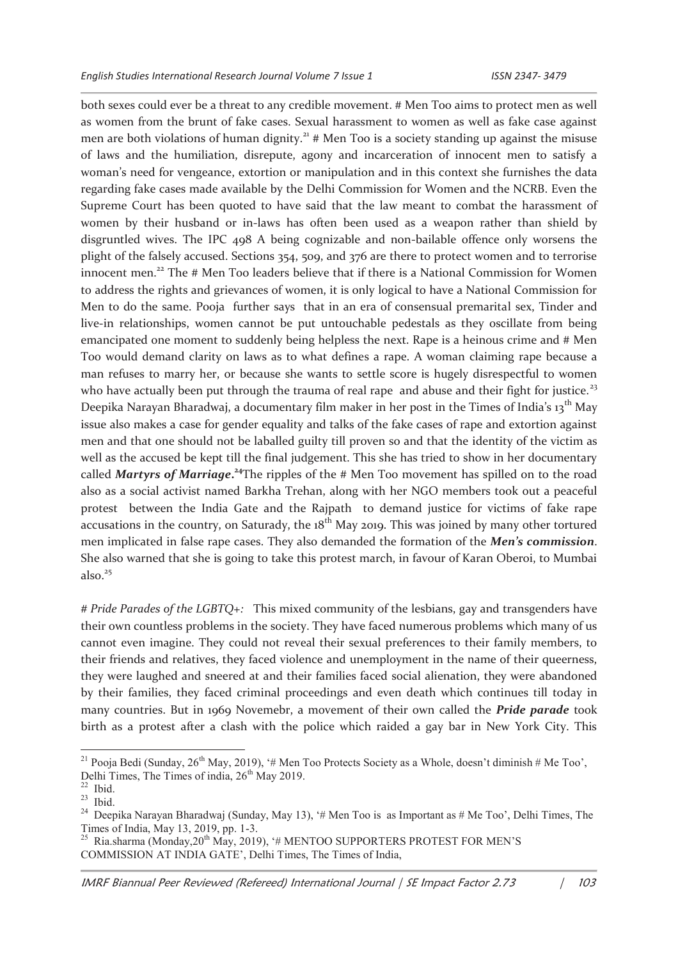both sexes could ever be a threat to any credible movement. # Men Too aims to protect men as well as women from the brunt of fake cases. Sexual harassment to women as well as fake case against men are both violations of human dignity.<sup>21</sup> # Men Too is a society standing up against the misuse of laws and the humiliation, disrepute, agony and incarceration of innocent men to satisfy a woman's need for vengeance, extortion or manipulation and in this context she furnishes the data regarding fake cases made available by the Delhi Commission for Women and the NCRB. Even the Supreme Court has been quoted to have said that the law meant to combat the harassment of women by their husband or in-laws has often been used as a weapon rather than shield by disgruntled wives. The IPC 498 A being cognizable and non-bailable offence only worsens the plight of the falsely accused. Sections 354, 509, and 376 are there to protect women and to terrorise innocent men.<sup>22</sup> The # Men Too leaders believe that if there is a National Commission for Women to address the rights and grievances of women, it is only logical to have a National Commission for Men to do the same. Pooja further says that in an era of consensual premarital sex, Tinder and live-in relationships, women cannot be put untouchable pedestals as they oscillate from being emancipated one moment to suddenly being helpless the next. Rape is a heinous crime and # Men Too would demand clarity on laws as to what defines a rape. A woman claiming rape because a man refuses to marry her, or because she wants to settle score is hugely disrespectful to women who have actually been put through the trauma of real rape and abuse and their fight for justice.<sup>23</sup> Deepika Narayan Bharadwaj, a documentary film maker in her post in the Times of India's 13<sup>th</sup> May issue also makes a case for gender equality and talks of the fake cases of rape and extortion against men and that one should not be laballed guilty till proven so and that the identity of the victim as well as the accused be kept till the final judgement. This she has tried to show in her documentary called *Martyrs of Marriage***. <sup>24</sup>**The ripples of the # Men Too movement has spilled on to the road also as a social activist named Barkha Trehan, along with her NGO members took out a peaceful protest between the India Gate and the Rajpath to demand justice for victims of fake rape accusations in the country, on Saturady, the  $18<sup>th</sup>$  May 2019. This was joined by many other tortured men implicated in false rape cases. They also demanded the formation of the *Men's commission*. She also warned that she is going to take this protest march, in favour of Karan Oberoi, to Mumbai also. $25$ 

*# Pride Parades of the LGBTQ+:* This mixed community of the lesbians, gay and transgenders have their own countless problems in the society. They have faced numerous problems which many of us cannot even imagine. They could not reveal their sexual preferences to their family members, to their friends and relatives, they faced violence and unemployment in the name of their queerness, they were laughed and sneered at and their families faced social alienation, they were abandoned by their families, they faced criminal proceedings and even death which continues till today in many countries. But in 1969 Novemebr, a movement of their own called the *Pride parade* took birth as a protest after a clash with the police which raided a gay bar in New York City. This

<sup>&</sup>lt;sup>21</sup> Pooja Bedi (Sunday, 26<sup>th</sup> May, 2019), '# Men Too Protects Society as a Whole, doesn't diminish # Me Too', Delhi Times, The Times of india,  $26<sup>th</sup>$  May 2019.

Ibid.

 $23$  Ibid.

<sup>&</sup>lt;sup>24</sup> Deepika Narayan Bharadwaj (Sunday, May 13), '# Men Too is as Important as # Me Too', Delhi Times, The Times of India, May 13, 2019, pp. 1-3.<br><sup>25</sup> Ria sharma (Monday.20<sup>th</sup> May, 2019)

Ria.sharma (Monday, 20<sup>th</sup> May, 2019), '# MENTOO SUPPORTERS PROTEST FOR MEN'S COMMISSION AT INDIA GATE', Delhi Times, The Times of India,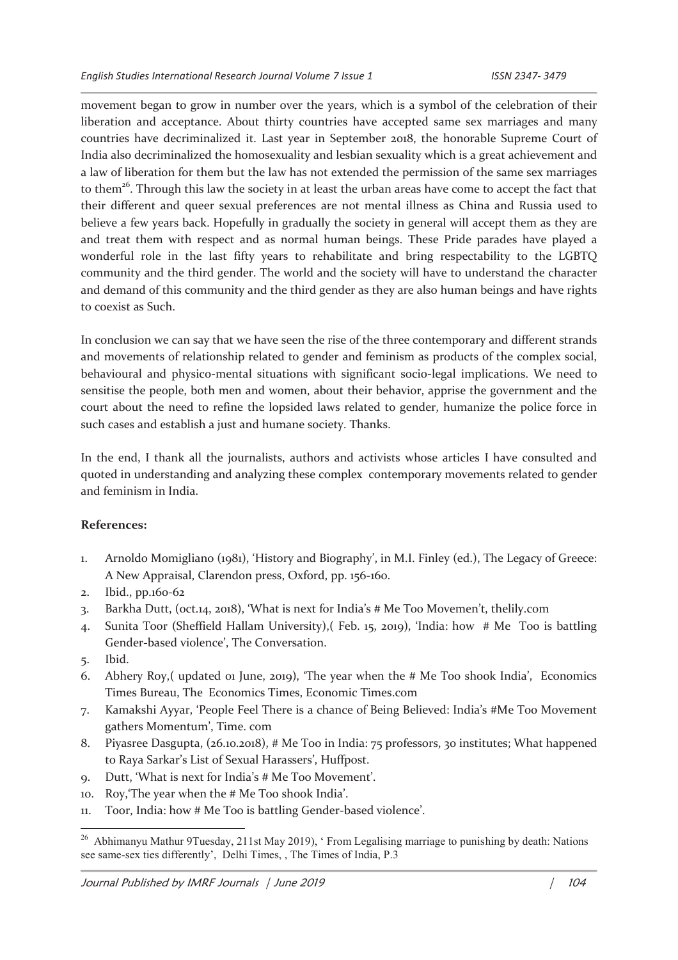movement began to grow in number over the years, which is a symbol of the celebration of their liberation and acceptance. About thirty countries have accepted same sex marriages and many countries have decriminalized it. Last year in September 2018, the honorable Supreme Court of India also decriminalized the homosexuality and lesbian sexuality which is a great achievement and a law of liberation for them but the law has not extended the permission of the same sex marriages to them<sup>26</sup>. Through this law the society in at least the urban areas have come to accept the fact that their different and queer sexual preferences are not mental illness as China and Russia used to believe a few years back. Hopefully in gradually the society in general will accept them as they are and treat them with respect and as normal human beings. These Pride parades have played a wonderful role in the last fifty years to rehabilitate and bring respectability to the LGBTQ community and the third gender. The world and the society will have to understand the character and demand of this community and the third gender as they are also human beings and have rights to coexist as Such.

In conclusion we can say that we have seen the rise of the three contemporary and different strands and movements of relationship related to gender and feminism as products of the complex social, behavioural and physico-mental situations with significant socio-legal implications. We need to sensitise the people, both men and women, about their behavior, apprise the government and the court about the need to refine the lopsided laws related to gender, humanize the police force in such cases and establish a just and humane society. Thanks.

In the end, I thank all the journalists, authors and activists whose articles I have consulted and quoted in understanding and analyzing these complex contemporary movements related to gender and feminism in India.

## **References:**

- 1. Arnoldo Momigliano (1981), 'History and Biography', in M.I. Finley (ed.), The Legacy of Greece: A New Appraisal, Clarendon press, Oxford, pp. 156-160.
- 2. Ibid., pp.160-62
- 3. Barkha Dutt, (oct.14, 2018), 'What is next for India's # Me Too Movemen't, thelily.com
- 4. Sunita Toor (Sheffield Hallam University),( Feb. 15, 2019), 'India: how # Me Too is battling Gender-based violence', The Conversation.
- 5. Ibid.

- 6. Abhery Roy,( updated 01 June, 2019), 'The year when the # Me Too shook India', Economics Times Bureau, The Economics Times, Economic Times.com
- 7. Kamakshi Ayyar, 'People Feel There is a chance of Being Believed: India's #Me Too Movement gathers Momentum', Time. com
- 8. Piyasree Dasgupta, (26.10.2018), # Me Too in India: 75 professors, 30 institutes; What happened to Raya Sarkar's List of Sexual Harassers', Huffpost.
- 9. Dutt, 'What is next for India's # Me Too Movement'.
- 10. Roy,'The year when the # Me Too shook India'.
- 11. Toor, India: how # Me Too is battling Gender-based violence'.

<sup>26</sup> Abhimanyu Mathur 9Tuesday, 211st May 2019), ' From Legalising marriage to punishing by death: Nations see same-sex ties differently', Delhi Times, , The Times of India, P.3